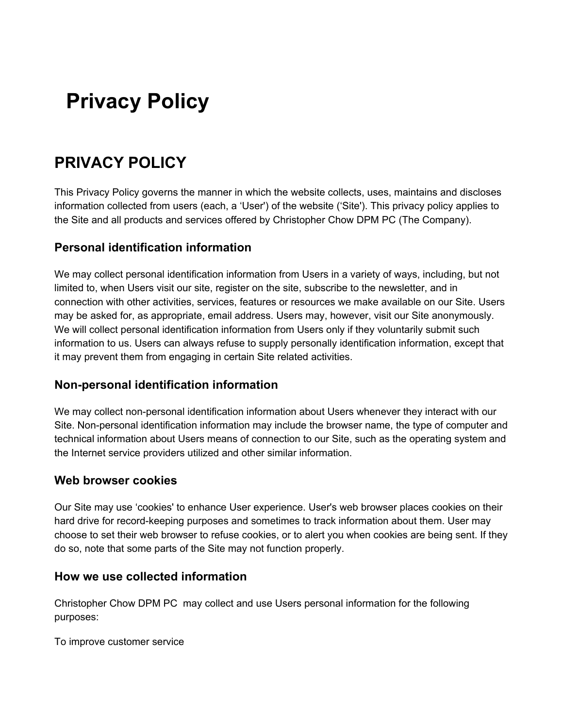# **Privacy Policy**

# **PRIVACY POLICY**

This Privacy Policy governs the manner in which the website collects, uses, maintains and discloses information collected from users (each, a 'User') of the website ('Site'). This privacy policy applies to the Site and all products and services offered by Christopher Chow DPM PC (The Company).

### **Personal identification information**

We may collect personal identification information from Users in a variety of ways, including, but not limited to, when Users visit our site, register on the site, subscribe to the newsletter, and in connection with other activities, services, features or resources we make available on our Site. Users may be asked for, as appropriate, email address. Users may, however, visit our Site anonymously. We will collect personal identification information from Users only if they voluntarily submit such information to us. Users can always refuse to supply personally identification information, except that it may prevent them from engaging in certain Site related activities.

### **Non-personal identification information**

We may collect non-personal identification information about Users whenever they interact with our Site. Non-personal identification information may include the browser name, the type of computer and technical information about Users means of connection to our Site, such as the operating system and the Internet service providers utilized and other similar information.

#### **Web browser cookies**

Our Site may use 'cookies' to enhance User experience. User's web browser places cookies on their hard drive for record-keeping purposes and sometimes to track information about them. User may choose to set their web browser to refuse cookies, or to alert you when cookies are being sent. If they do so, note that some parts of the Site may not function properly.

### **How we use collected information**

Christopher Chow DPM PC may collect and use Users personal information for the following purposes:

To improve customer service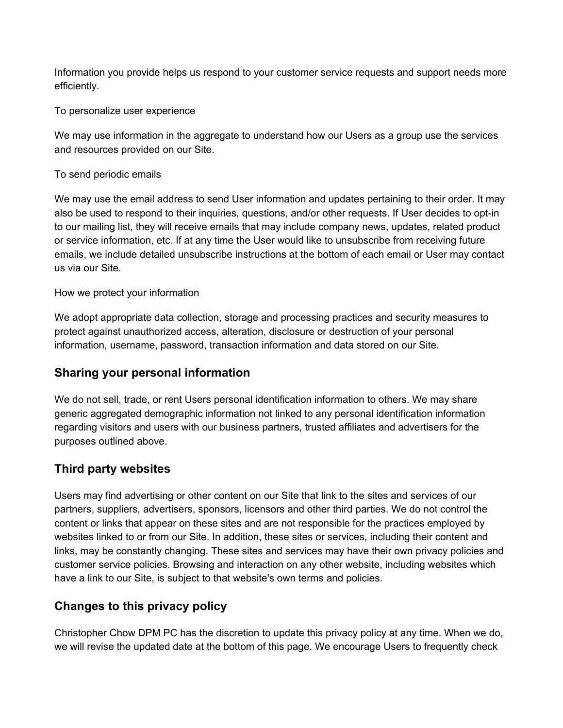Information you provide helps us respond to your customer service requests and support needs more efficiently.

To personalize user experience

We may use information in the aggregate to understand how our Users as a group use the services and resources provided on our Site.

To send periodic emails

We may use the email address to send User information and updates pertaining to their order. It may also be used to respond to their inquiries, questions, and/or other requests. If User decides to opt-in to our mailing list, they will receive emails that may include company news, updates, related product or service information, etc. If at any time the User would like to unsubscribe from receiving future emails, we include detailed unsubscribe instructions at the bottom of each email or User may contact us via our Site.

How we protect your information

We adopt appropriate data collection, storage and processing practices and security measures to protect against unauthorized access, alteration, disclosure or destruction of your personal information, username, password, transaction information and data stored on our Site.

### **Sharing your personal information**

We do not sell, trade, or rent Users personal identification information to others. We may share generic aggregated demographic information not linked to any personal identification information regarding visitors and users with our business partners, trusted affiliates and advertisers for the purposes outlined above.

### **Third party websites**

Users may find advertising or other content on our Site that link to the sites and services of our partners, suppliers, advertisers, sponsors, licensors and other third parties. We do not control the content or links that appear on these sites and are not responsible for the practices employed by websites linked to or from our Site. In addition, these sites or services, including their content and links, may be constantly changing. These sites and services may have their own privacy policies and customer service policies. Browsing and interaction on any other website, including websites which have a link to our Site, is subject to that website's own terms and policies.

## **Changes to this privacy policy**

Christopher Chow DPM PC has the discretion to update this privacy policy at any time. When we do, we will revise the updated date at the bottom of this page. We encourage Users to frequently check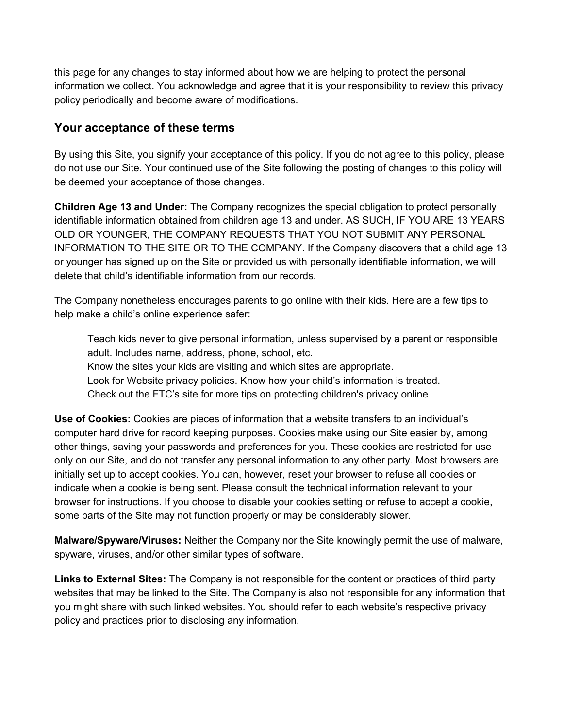this page for any changes to stay informed about how we are helping to protect the personal information we collect. You acknowledge and agree that it is your responsibility to review this privacy policy periodically and become aware of modifications.

#### **Your acceptance of these terms**

By using this Site, you signify your acceptance of this policy. If you do not agree to this policy, please do not use our Site. Your continued use of the Site following the posting of changes to this policy will be deemed your acceptance of those changes.

**Children Age 13 and Under:** The Company recognizes the special obligation to protect personally identifiable information obtained from children age 13 and under. AS SUCH, IF YOU ARE 13 YEARS OLD OR YOUNGER, THE COMPANY REQUESTS THAT YOU NOT SUBMIT ANY PERSONAL INFORMATION TO THE SITE OR TO THE COMPANY. If the Company discovers that a child age 13 or younger has signed up on the Site or provided us with personally identifiable information, we will delete that child's identifiable information from our records.

The Company nonetheless encourages parents to go online with their kids. Here are a few tips to help make a child's online experience safer:

Teach kids never to give personal information, unless supervised by a parent or responsible adult. Includes name, address, phone, school, etc. Know the sites your kids are visiting and which sites are appropriate. Look for Website privacy policies. Know how your child's information is treated. Check out the FTC's site for more tips on protecting children's privacy online

**Use of Cookies:** Cookies are pieces of information that a website transfers to an individual's computer hard drive for record keeping purposes. Cookies make using our Site easier by, among other things, saving your passwords and preferences for you. These cookies are restricted for use only on our Site, and do not transfer any personal information to any other party. Most browsers are initially set up to accept cookies. You can, however, reset your browser to refuse all cookies or indicate when a cookie is being sent. Please consult the technical information relevant to your browser for instructions. If you choose to disable your cookies setting or refuse to accept a cookie, some parts of the Site may not function properly or may be considerably slower.

**Malware/Spyware/Viruses:** Neither the Company nor the Site knowingly permit the use of malware, spyware, viruses, and/or other similar types of software.

**Links to External Sites:** The Company is not responsible for the content or practices of third party websites that may be linked to the Site. The Company is also not responsible for any information that you might share with such linked websites. You should refer to each website's respective privacy policy and practices prior to disclosing any information.